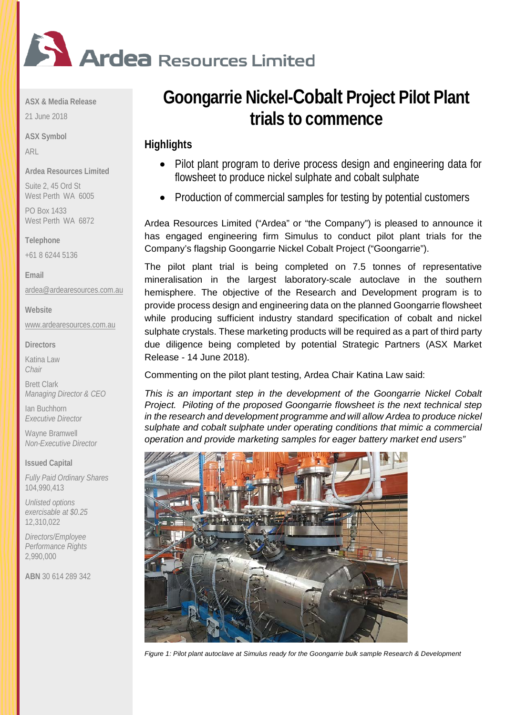

**ASX & Media Release**

21 June 2018

**ASX Symbol** ARL

**Ardea Resources Limited**

Suite 2, 45 Ord St West Perth WA 6005

PO Box 1433 West Perth WA 6872

**Telephone** 

+61 8 6244 5136

**Email**

[ardea@ardearesources.com.au](mailto:ardea@ardearesources.com.au)

**Website**

[www.ardearesources.com.au](http://www.ardearesources.com.au/)

**Directors**

Katina Law *Chair*

Brett Clark *Managing Director & CEO*

Ian Buchhorn *Executive Director*

Wayne Bramwell *Non-Executive Director*

**Issued Capital**

*Fully Paid Ordinary Shares* 104,990,413

*Unlisted options exercisable at \$0.25* 12,310,022

*Directors/Employee Performance Rights* 2,990,000

**ABN** 30 614 289 342

# **Goongarrie Nickel-Cobalt Project Pilot Plant trials to commence**

# **Highlights**

- Pilot plant program to derive process design and engineering data for flowsheet to produce nickel sulphate and cobalt sulphate
- Production of commercial samples for testing by potential customers

Ardea Resources Limited ("Ardea" or "the Company") is pleased to announce it has engaged engineering firm Simulus to conduct pilot plant trials for the Company's flagship Goongarrie Nickel Cobalt Project ("Goongarrie").

The pilot plant trial is being completed on 7.5 tonnes of representative mineralisation in the largest laboratory-scale autoclave in the southern hemisphere. The objective of the Research and Development program is to provide process design and engineering data on the planned Goongarrie flowsheet while producing sufficient industry standard specification of cobalt and nickel sulphate crystals. These marketing products will be required as a part of third party due diligence being completed by potential Strategic Partners (ASX Market Release - 14 June 2018).

Commenting on the pilot plant testing, Ardea Chair Katina Law said:

*This is an important step in the development of the Goongarrie Nickel Cobalt Project. Piloting of the proposed Goongarrie flowsheet is the next technical step in the research and development programme and will allow Ardea to produce nickel sulphate and cobalt sulphate under operating conditions that mimic a commercial operation and provide marketing samples for eager battery market end users"*



*Figure 1: Pilot plant autoclave at Simulus ready for the Goongarrie bulk sample Research & Development*